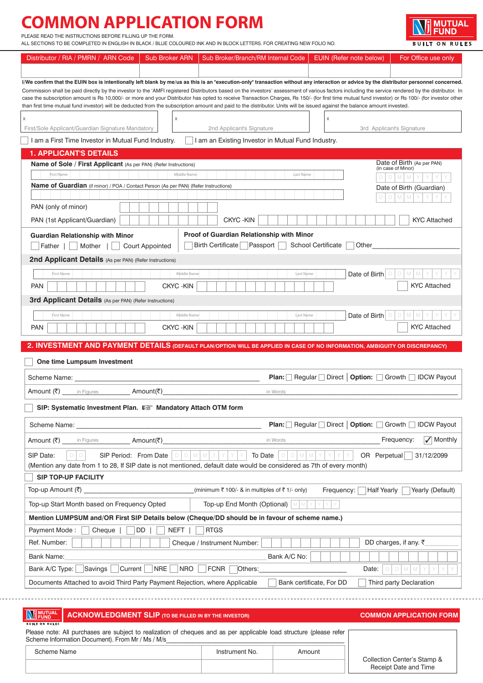# **COMMON APPLICATION FORM**

PLEASE READ THE INSTRUCTIONS BEFORE FILLING UP THE FORM.

ALL SECTIONS TO BE COMPLETED IN ENGLISH IN BLACK / BLUE COLOURED INK AND IN BLOCK LETTERS. FOR CREATING NEW FOLIO NO.

| Distributor / RIA / PMRN / ARN Code<br><b>Sub Broker ARN</b><br>Sub Broker/Branch/RM Internal Code                                                                                                                                                                                                                                                                              | EUIN (Refer note below)<br>For Office use only              |
|---------------------------------------------------------------------------------------------------------------------------------------------------------------------------------------------------------------------------------------------------------------------------------------------------------------------------------------------------------------------------------|-------------------------------------------------------------|
|                                                                                                                                                                                                                                                                                                                                                                                 |                                                             |
| l/We confirm that the EUIN box is intentionally left blank by me/us as this is an "execution-only" transaction without any interaction or advice by the distributor personnel concerned.                                                                                                                                                                                        |                                                             |
| Commission shall be paid directly by the investor to the 'AMFI registered Distributors based on the investors' assessment of various factors including the service rendered by the distributor. In                                                                                                                                                                              |                                                             |
| case the subscription amount is Rs 10,000/- or more and your Distributor has opted to receive Transaction Charges, Rs 150/- (for first time mutual fund investor) or Rs 100/- (for investor other<br>than first time mutual fund investor) will be deducted from the subscription amount and paid to the distributor. Units will be issued against the balance amount invested. |                                                             |
| Χ<br>Χ                                                                                                                                                                                                                                                                                                                                                                          | X                                                           |
| First/Sole Applicant/Guardian Signature Mandatory<br>2nd Applicant's Signature                                                                                                                                                                                                                                                                                                  | 3rd Applicant's Signature                                   |
| I am a First Time Investor in Mutual Fund Industry.                                                                                                                                                                                                                                                                                                                             | I am an Existing Investor in Mutual Fund Industry.          |
| <b>1. APPLICANT'S DETAILS</b>                                                                                                                                                                                                                                                                                                                                                   |                                                             |
| <b>Name of Sole / First Applicant</b> (As per PAN) (Refer Instructions)                                                                                                                                                                                                                                                                                                         | Date of Birth (As per PAN)<br>(in case of Minor)            |
| First Name<br>Middle Name                                                                                                                                                                                                                                                                                                                                                       | Last Name<br>D<br>M                                         |
| Name of Guardian (if minor) / POA / Contact Person (As per PAN) (Refer Instructions)                                                                                                                                                                                                                                                                                            | Date of Birth (Guardian)                                    |
|                                                                                                                                                                                                                                                                                                                                                                                 | D<br>M<br>M                                                 |
| PAN (only of minor)                                                                                                                                                                                                                                                                                                                                                             |                                                             |
| <b>CKYC-KIN</b><br>PAN (1st Applicant/Guardian)                                                                                                                                                                                                                                                                                                                                 | <b>KYC Attached</b>                                         |
| Proof of Guardian Relationship with Minor<br><b>Guardian Relationship with Minor</b>                                                                                                                                                                                                                                                                                            |                                                             |
| Birth Certificate Passport<br>Mother   Court Appointed<br>Father $  $                                                                                                                                                                                                                                                                                                           | <b>School Certificate</b><br>Other                          |
| 2nd Applicant Details (As per PAN) (Refer Instructions)                                                                                                                                                                                                                                                                                                                         |                                                             |
| First Name<br>Middle Name                                                                                                                                                                                                                                                                                                                                                       | Date of Birth<br>Last Name<br>M<br>M<br>D                   |
| <b>CKYC-KIN</b><br><b>PAN</b>                                                                                                                                                                                                                                                                                                                                                   | <b>KYC Attached</b>                                         |
| 3rd Applicant Details (As per PAN) (Refer Instructions)                                                                                                                                                                                                                                                                                                                         |                                                             |
| First Name<br>Middle Name                                                                                                                                                                                                                                                                                                                                                       | Date of Birth D<br>M<br>M<br>Last Name<br>D                 |
| <b>PAN</b><br><b>CKYC-KIN</b>                                                                                                                                                                                                                                                                                                                                                   |                                                             |
|                                                                                                                                                                                                                                                                                                                                                                                 | <b>KYC Attached</b>                                         |
|                                                                                                                                                                                                                                                                                                                                                                                 |                                                             |
| 2. INVESTMENT AND PAYMENT DETAILS (DEFAULT PLAN/OPTION WILL BE APPLIED IN CASE OF NO INFORMATION, AMBIGUITY OR DISCREPANCY)                                                                                                                                                                                                                                                     |                                                             |
| One time Lumpsum Investment                                                                                                                                                                                                                                                                                                                                                     |                                                             |
| Scheme Name: ____                                                                                                                                                                                                                                                                                                                                                               | Plan: Regular Direct   Option: Growth   IDCW Payout         |
| Amount $(\bar{\zeta})$ in Figures Amount $(\bar{\zeta})$                                                                                                                                                                                                                                                                                                                        | in Words                                                    |
| SIP: Systematic Investment Plan. L <sup>2</sup> Mandatory Attach OTM form                                                                                                                                                                                                                                                                                                       |                                                             |
| Scheme Name:                                                                                                                                                                                                                                                                                                                                                                    | Plan: Regular Direct   Option: Growth<br><b>IDCW Payout</b> |
| Amount(₹)<br>Amount (₹)<br>in Figures                                                                                                                                                                                                                                                                                                                                           | $\sqrt{\ }$ Monthly<br>Frequency:<br>in Words               |
| D<br>M<br>M<br>D                                                                                                                                                                                                                                                                                                                                                                |                                                             |
| SIP Date:<br>D<br>SIP Period: From Date<br>$\Box$<br>(Mention any date from 1 to 28, If SIP date is not mentioned, default date would be considered as 7th of every month)                                                                                                                                                                                                      | To Date<br>OR Perpetual<br>31/12/2099                       |
| <b>SIP TOP-UP FACILITY</b>                                                                                                                                                                                                                                                                                                                                                      |                                                             |
| Top-up Amount (₹)<br>(minimum ₹ 100/- & in multiples of ₹ 1/- only)                                                                                                                                                                                                                                                                                                             | Frequency:<br>Yearly (Default)<br><b>Half Yearly</b>        |
| Top-up Start Month based on Frequency Opted<br>Top-up End Month (Optional)   M   M                                                                                                                                                                                                                                                                                              |                                                             |
| Mention LUMPSUM and/OR First SIP Details below (Cheque/DD should be in favour of scheme name.)                                                                                                                                                                                                                                                                                  |                                                             |
| DD<br>NEFT  <br><b>RTGS</b><br>Payment Mode :<br>Cheque                                                                                                                                                                                                                                                                                                                         |                                                             |
| Ref. Number:<br>Cheque / Instrument Number:                                                                                                                                                                                                                                                                                                                                     | DD charges, if any. $\bar{\tau}$                            |
| Bank Name:                                                                                                                                                                                                                                                                                                                                                                      | Bank A/C No:                                                |
| NRE<br><b>NRO</b><br>Current<br><b>FCNR</b><br>Bank A/C Type:<br>Savings<br>$\mathcal{L}$<br>Others:                                                                                                                                                                                                                                                                            | Date:                                                       |
| Documents Attached to avoid Third Party Payment Rejection, where Applicable                                                                                                                                                                                                                                                                                                     | Bank certificate, For DD<br>Third party Declaration         |

#### **WI** FUND **ACKNOWLEDGMENT SLIP** (TO BE FILLED IN BY THE INVESTOR) **COMMON APPLICATION FORM**

**BUILT ON RULES** 

Please note: All purchases are subject to realization of cheques and as per applicable load structure (please refer Scheme Information Document). From Mr / Ms / M/s

Scheme Name **Instrument No.** Amount

Collection Center's Stamp & Receipt Date and Time

**MUTUAL**<br>FUND **BUILT ON RULES**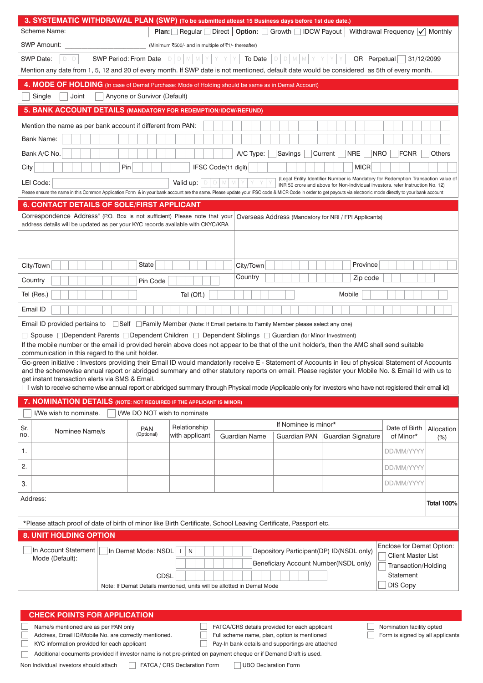|                                          |                                                                                                                                                               |                              |                                                     | Plan: Regular Direct   Option: Growth   IDCW Payout                                                                                                                                                                                                                            |                      |                                                                                                                                                                                                                                                                                                                    | Withdrawal Frequency V Monthly   |               |
|------------------------------------------|---------------------------------------------------------------------------------------------------------------------------------------------------------------|------------------------------|-----------------------------------------------------|--------------------------------------------------------------------------------------------------------------------------------------------------------------------------------------------------------------------------------------------------------------------------------|----------------------|--------------------------------------------------------------------------------------------------------------------------------------------------------------------------------------------------------------------------------------------------------------------------------------------------------------------|----------------------------------|---------------|
|                                          | SWP Amount:                                                                                                                                                   |                              | (Minimum ₹500/- and in multiple of ₹1/- thereafter) |                                                                                                                                                                                                                                                                                |                      |                                                                                                                                                                                                                                                                                                                    |                                  |               |
| SWP Date:                                | $\Box$<br>$\Box$                                                                                                                                              | SWP Period: From Date        | DDMM                                                | To Date                                                                                                                                                                                                                                                                        | $D$ M<br>M<br>D      |                                                                                                                                                                                                                                                                                                                    | OR Perpetual 31/12/2099          |               |
|                                          |                                                                                                                                                               |                              |                                                     |                                                                                                                                                                                                                                                                                |                      | Mention any date from 1, 5, 12 and 20 of every month. If SWP date is not mentioned, default date would be considered as 5th of every month.                                                                                                                                                                        |                                  |               |
|                                          |                                                                                                                                                               |                              |                                                     | 4. MODE OF HOLDING (In case of Demat Purchase: Mode of Holding should be same as in Demat Account)                                                                                                                                                                             |                      |                                                                                                                                                                                                                                                                                                                    |                                  |               |
| Single                                   | Joint                                                                                                                                                         | Anyone or Survivor (Default) |                                                     |                                                                                                                                                                                                                                                                                |                      |                                                                                                                                                                                                                                                                                                                    |                                  |               |
|                                          | 5. BANK ACCOUNT DETAILS (MANDATORY FOR REDEMPTION/IDCW/REFUND)                                                                                                |                              |                                                     |                                                                                                                                                                                                                                                                                |                      |                                                                                                                                                                                                                                                                                                                    |                                  |               |
|                                          | Mention the name as per bank account if different from PAN:                                                                                                   |                              |                                                     |                                                                                                                                                                                                                                                                                |                      |                                                                                                                                                                                                                                                                                                                    |                                  |               |
| Bank Name:                               |                                                                                                                                                               |                              |                                                     |                                                                                                                                                                                                                                                                                |                      |                                                                                                                                                                                                                                                                                                                    |                                  |               |
| Bank A/C No.                             |                                                                                                                                                               |                              |                                                     | A/C Type:                                                                                                                                                                                                                                                                      | Savings              | Current NRE<br><b>NRO</b>                                                                                                                                                                                                                                                                                          | FCNR                             | <b>Others</b> |
| City                                     |                                                                                                                                                               | Pin                          |                                                     | IFSC Code(11 digit)                                                                                                                                                                                                                                                            |                      | <b>MICR</b>                                                                                                                                                                                                                                                                                                        |                                  |               |
| LEI Code:                                |                                                                                                                                                               |                              | Valid up:                                           |                                                                                                                                                                                                                                                                                |                      | (Legal Entity Identifier Number is Mandatory for Redemption Transaction value of                                                                                                                                                                                                                                   |                                  |               |
|                                          |                                                                                                                                                               |                              |                                                     |                                                                                                                                                                                                                                                                                |                      | INR 50 crore and above for Non-Individual investors. refer Instruction No. 12)<br>Please ensure the name in this Common Application Form & in your bank account are the same. Please update your IFSC code & MICR Code in order to get payouts via electronic mode directly to your bank account                   |                                  |               |
|                                          | 6. CONTACT DETAILS OF SOLE/FIRST APPLICANT                                                                                                                    |                              |                                                     |                                                                                                                                                                                                                                                                                |                      |                                                                                                                                                                                                                                                                                                                    |                                  |               |
|                                          | Correspondence Address" (P.O. Box is not sufficient) Please note that your<br>address details will be updated as per your KYC records available with CKYC/KRA |                              |                                                     |                                                                                                                                                                                                                                                                                |                      | Overseas Address (Mandatory for NRI / FPI Applicants)                                                                                                                                                                                                                                                              |                                  |               |
|                                          |                                                                                                                                                               | <b>State</b>                 |                                                     |                                                                                                                                                                                                                                                                                |                      | Province                                                                                                                                                                                                                                                                                                           |                                  |               |
| City/Town                                |                                                                                                                                                               |                              |                                                     | City/Town<br>Country                                                                                                                                                                                                                                                           |                      | Zip code                                                                                                                                                                                                                                                                                                           |                                  |               |
| Country                                  |                                                                                                                                                               | Pin Code                     |                                                     |                                                                                                                                                                                                                                                                                |                      |                                                                                                                                                                                                                                                                                                                    |                                  |               |
| Tel (Res.)                               |                                                                                                                                                               |                              | Tel (Off.)                                          |                                                                                                                                                                                                                                                                                |                      | Mobile                                                                                                                                                                                                                                                                                                             |                                  |               |
| Email ID                                 |                                                                                                                                                               |                              |                                                     |                                                                                                                                                                                                                                                                                |                      |                                                                                                                                                                                                                                                                                                                    |                                  |               |
|                                          | communication in this regard to the unit holder.                                                                                                              |                              |                                                     | Email ID provided pertains to<br>□ Self □ Family Member (Note: If Email pertains to Family Member (Note: If Email pertains to Family Member please select any one)<br>□ Spouse □ Dependent Parents □ Dependent Children □ Dependent Siblings □ Guardian (for Minor Investment) |                      | If the mobile number or the email id provided herein above does not appear to be that of the unit holder's, then the AMC shall send suitable<br>Go-green initiative : Investors providing their Email ID would mandatorily receive E - Statement of Accounts in lieu of physical Statement of Accounts             |                                  |               |
|                                          | get instant transaction alerts via SMS & Email.                                                                                                               |                              |                                                     |                                                                                                                                                                                                                                                                                |                      | and the schemewise annual report or abridged summary and other statutory reports on email. Please register your Mobile No. & Email Id with us to<br>□ I wish to receive scheme wise annual report or abridged summary through Physical mode (Applicable only for investors who have not registered their email id) |                                  |               |
|                                          | 7. NOMINATION DETAILS (NOTE: NOT REQUIRED IF THE APPLICANT IS MINOR)                                                                                          |                              |                                                     |                                                                                                                                                                                                                                                                                |                      |                                                                                                                                                                                                                                                                                                                    |                                  |               |
|                                          | I/We wish to nominate.                                                                                                                                        |                              | I/We DO NOT wish to nominate                        |                                                                                                                                                                                                                                                                                |                      |                                                                                                                                                                                                                                                                                                                    |                                  |               |
|                                          |                                                                                                                                                               | PAN                          | Relationship                                        |                                                                                                                                                                                                                                                                                | If Nominee is minor* |                                                                                                                                                                                                                                                                                                                    | Date of Birth                    | Allocation    |
|                                          | Nominee Name/s                                                                                                                                                | (Optional)                   | with applicant                                      | <b>Guardian Name</b>                                                                                                                                                                                                                                                           | <b>Guardian PAN</b>  | <b>Guardian Signature</b>                                                                                                                                                                                                                                                                                          | of Minor*                        | (%)           |
|                                          |                                                                                                                                                               |                              |                                                     |                                                                                                                                                                                                                                                                                |                      |                                                                                                                                                                                                                                                                                                                    | DD/MM/YYYY                       |               |
|                                          |                                                                                                                                                               |                              |                                                     |                                                                                                                                                                                                                                                                                |                      |                                                                                                                                                                                                                                                                                                                    | DD/MM/YYYY                       |               |
|                                          |                                                                                                                                                               |                              |                                                     |                                                                                                                                                                                                                                                                                |                      |                                                                                                                                                                                                                                                                                                                    | DD/MM/YYYY                       |               |
|                                          |                                                                                                                                                               |                              |                                                     |                                                                                                                                                                                                                                                                                |                      |                                                                                                                                                                                                                                                                                                                    |                                  |               |
|                                          |                                                                                                                                                               |                              |                                                     |                                                                                                                                                                                                                                                                                |                      |                                                                                                                                                                                                                                                                                                                    |                                  | Total 100%    |
|                                          |                                                                                                                                                               |                              |                                                     | *Please attach proof of date of birth of minor like Birth Certificate, School Leaving Certificate, Passport etc.                                                                                                                                                               |                      |                                                                                                                                                                                                                                                                                                                    |                                  |               |
|                                          | <b>8. UNIT HOLDING OPTION</b>                                                                                                                                 |                              |                                                     |                                                                                                                                                                                                                                                                                |                      |                                                                                                                                                                                                                                                                                                                    |                                  |               |
|                                          | In Account Statement                                                                                                                                          |                              |                                                     |                                                                                                                                                                                                                                                                                |                      |                                                                                                                                                                                                                                                                                                                    | Enclose for Demat Option:        |               |
|                                          | Mode (Default):                                                                                                                                               | In Demat Mode: NSDL   I      | N                                                   |                                                                                                                                                                                                                                                                                |                      | Depository Participant(DP) ID(NSDL only)                                                                                                                                                                                                                                                                           | <b>Client Master List</b>        |               |
|                                          |                                                                                                                                                               | CDSL                         |                                                     |                                                                                                                                                                                                                                                                                |                      | Beneficiary Account Number(NSDL only)                                                                                                                                                                                                                                                                              | Transaction/Holding<br>Statement |               |
|                                          |                                                                                                                                                               |                              |                                                     | Note: If Demat Details mentioned, units will be allotted in Demat Mode                                                                                                                                                                                                         |                      |                                                                                                                                                                                                                                                                                                                    | <b>DIS Copy</b>                  |               |
| Sr.<br>no.<br>1.<br>2.<br>3.<br>Address: |                                                                                                                                                               |                              |                                                     |                                                                                                                                                                                                                                                                                |                      |                                                                                                                                                                                                                                                                                                                    |                                  |               |
|                                          |                                                                                                                                                               |                              |                                                     |                                                                                                                                                                                                                                                                                |                      |                                                                                                                                                                                                                                                                                                                    |                                  |               |
|                                          | <b>CHECK POINTS FOR APPLICATION</b><br>Name/s mentioned are as per PAN only                                                                                   |                              |                                                     | FATCA/CRS details provided for each applicant                                                                                                                                                                                                                                  |                      |                                                                                                                                                                                                                                                                                                                    | Nomination facility opted        |               |

Non Individual investors should attach FATCA / CRS Declaration Form UBO Declaration Form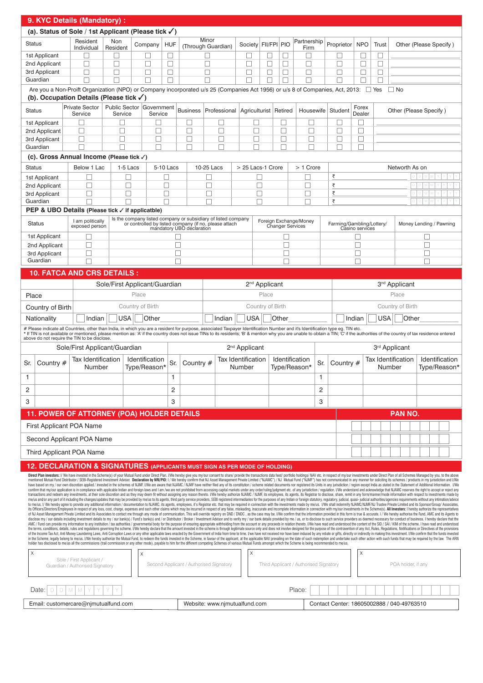| 9. KYC Details (Mandatory) :                                                                                                               |                                |                                                                                                                                                                                                                                                                                                                                                                                                                                                                                                                                                                                                                                                                                                    |                 |                                     |             |                           |                                                                                                                        |                                    |                            |                         |                     |                                            |                          |             |              |                           |        |                         |
|--------------------------------------------------------------------------------------------------------------------------------------------|--------------------------------|----------------------------------------------------------------------------------------------------------------------------------------------------------------------------------------------------------------------------------------------------------------------------------------------------------------------------------------------------------------------------------------------------------------------------------------------------------------------------------------------------------------------------------------------------------------------------------------------------------------------------------------------------------------------------------------------------|-----------------|-------------------------------------|-------------|---------------------------|------------------------------------------------------------------------------------------------------------------------|------------------------------------|----------------------------|-------------------------|---------------------|--------------------------------------------|--------------------------|-------------|--------------|---------------------------|--------|-------------------------|
| (a). Status of Sole / 1st Applicant (Please tick √)                                                                                        |                                |                                                                                                                                                                                                                                                                                                                                                                                                                                                                                                                                                                                                                                                                                                    |                 |                                     |             |                           |                                                                                                                        |                                    |                            |                         |                     |                                            |                          |             |              |                           |        |                         |
| <b>Status</b>                                                                                                                              |                                | Resident<br>Individual                                                                                                                                                                                                                                                                                                                                                                                                                                                                                                                                                                                                                                                                             | Non<br>Resident | Company                             | <b>HUF</b>  |                           | Minor<br>(Through Guardian)                                                                                            |                                    | Society   FII/FPI   PIO    |                         | Partnership<br>Firm | Proprietor                                 | <b>NPO</b>               |             | Trust        |                           |        | Other (Please Specify)  |
|                                                                                                                                            | 1st Applicant                  |                                                                                                                                                                                                                                                                                                                                                                                                                                                                                                                                                                                                                                                                                                    |                 | □                                   | □           |                           |                                                                                                                        | □                                  | $\Box$                     |                         | □                   |                                            |                          | □           | $\Box$       |                           |        |                         |
|                                                                                                                                            | 2nd Applicant<br>3rd Applicant | □<br>□                                                                                                                                                                                                                                                                                                                                                                                                                                                                                                                                                                                                                                                                                             | Ш<br>□          | $\Box$<br>□                         | $\Box$<br>П |                           | □<br>□                                                                                                                 | □<br>□                             | ⊔<br>∟<br>$\Box$<br>$\Box$ |                         | $\Box$<br>□         | □<br>$\Box$                                |                          | $\Box$<br>□ | □<br>□       |                           |        |                         |
|                                                                                                                                            | Guardian                       | П                                                                                                                                                                                                                                                                                                                                                                                                                                                                                                                                                                                                                                                                                                  |                 | П                                   |             |                           |                                                                                                                        | П                                  | П                          |                         | П                   |                                            |                          |             |              |                           |        |                         |
|                                                                                                                                            |                                | Are you a Non-Proift Organization (NPO) or Company incorporated u/s 25 (Companies Act 1956) or u/s 8 of Companies, Act, 2013: □ Yes                                                                                                                                                                                                                                                                                                                                                                                                                                                                                                                                                                |                 |                                     |             |                           |                                                                                                                        |                                    |                            |                         |                     |                                            |                          |             |              | ∣ ∣No                     |        |                         |
|                                                                                                                                            |                                | (b). Occupation Details (Please tick $\checkmark$ )                                                                                                                                                                                                                                                                                                                                                                                                                                                                                                                                                                                                                                                |                 |                                     |             |                           |                                                                                                                        |                                    |                            |                         |                     |                                            |                          |             |              |                           |        |                         |
| Status                                                                                                                                     |                                | <b>Private Sector</b><br>Service                                                                                                                                                                                                                                                                                                                                                                                                                                                                                                                                                                                                                                                                   | Service         | Public Sector Government<br>Service |             | <b>Business</b>           |                                                                                                                        | Professional Agriculturist Retired |                            |                         | Housewife           | Forex<br>Student<br>Dealer                 |                          |             |              | Other (Please Specify)    |        |                         |
|                                                                                                                                            | 1st Applicant                  |                                                                                                                                                                                                                                                                                                                                                                                                                                                                                                                                                                                                                                                                                                    |                 |                                     |             | ⊔                         | $\Box$                                                                                                                 | ⊔                                  | □                          |                         | $\Box$              | u                                          | $\overline{\phantom{a}}$ |             |              |                           |        |                         |
|                                                                                                                                            | 2nd Applicant                  | $\Box$                                                                                                                                                                                                                                                                                                                                                                                                                                                                                                                                                                                                                                                                                             | □               | □                                   |             | □                         | □                                                                                                                      | □                                  | □                          |                         | $\Box$              | □                                          | □                        |             |              |                           |        |                         |
|                                                                                                                                            | 3rd Applicant<br>Guardian      |                                                                                                                                                                                                                                                                                                                                                                                                                                                                                                                                                                                                                                                                                                    | □<br>□          | □<br>П                              |             | □<br>П                    | □                                                                                                                      | □                                  | □                          |                         | □                   |                                            | $\Box$<br>$\Box$         |             |              |                           |        |                         |
|                                                                                                                                            |                                | (c). Gross Annual Income (Please tick √)                                                                                                                                                                                                                                                                                                                                                                                                                                                                                                                                                                                                                                                           |                 |                                     |             |                           |                                                                                                                        |                                    |                            |                         |                     |                                            |                          |             |              |                           |        |                         |
| Status                                                                                                                                     |                                | Below 1 Lac                                                                                                                                                                                                                                                                                                                                                                                                                                                                                                                                                                                                                                                                                        | 1-5 Lacs        |                                     | 5-10 Lacs   |                           | 10-25 Lacs                                                                                                             |                                    | > 25 Lacs-1 Crore          |                         | $> 1$ Crore         |                                            |                          |             |              | Networth As on            |        |                         |
|                                                                                                                                            | 1st Applicant                  | E                                                                                                                                                                                                                                                                                                                                                                                                                                                                                                                                                                                                                                                                                                  |                 |                                     | $\Box$      |                           | E                                                                                                                      |                                    |                            |                         |                     | ₹                                          |                          |             |              |                           |        |                         |
|                                                                                                                                            | 2nd Applicant                  | $\Box$                                                                                                                                                                                                                                                                                                                                                                                                                                                                                                                                                                                                                                                                                             | $\Box$          |                                     | $\Box$      |                           | $\Box$                                                                                                                 |                                    | $\Box$                     |                         | $\Box$              | ₹                                          |                          |             |              |                           |        |                         |
|                                                                                                                                            | 3rd Applicant                  | П                                                                                                                                                                                                                                                                                                                                                                                                                                                                                                                                                                                                                                                                                                  | $\Box$          |                                     | П           |                           | $\Box$                                                                                                                 |                                    | П                          |                         | □                   | ₹                                          |                          |             |              |                           |        |                         |
|                                                                                                                                            | Guardian                       | $\Box$                                                                                                                                                                                                                                                                                                                                                                                                                                                                                                                                                                                                                                                                                             | П               |                                     | П           |                           | П                                                                                                                      |                                    | $\Box$                     |                         | П                   | ₹                                          |                          |             |              |                           |        |                         |
|                                                                                                                                            |                                | PEP & UBO Details (Please tick √ if applicatble)                                                                                                                                                                                                                                                                                                                                                                                                                                                                                                                                                                                                                                                   |                 |                                     |             |                           |                                                                                                                        |                                    |                            |                         |                     |                                            |                          |             |              |                           |        |                         |
|                                                                                                                                            | <b>Status</b>                  | I am politically<br>exposed person                                                                                                                                                                                                                                                                                                                                                                                                                                                                                                                                                                                                                                                                 |                 |                                     |             | mandatory UBO declaration | Is the company listed company or subsidiary of listed company<br>or controlled by listed company (if no, please attach |                                    | Foreign Exchange/Money     | <b>Changer Services</b> |                     | Farming/Gambling/Lottery/                  | Casino services          |             |              |                           |        | Money Lending / Pawning |
|                                                                                                                                            | 1st Applicant                  | $\sqcup$                                                                                                                                                                                                                                                                                                                                                                                                                                                                                                                                                                                                                                                                                           |                 |                                     |             |                           |                                                                                                                        |                                    |                            | ш                       |                     |                                            |                          |             |              |                           | $\Box$ |                         |
|                                                                                                                                            | 2nd Applicant                  | $\Box$                                                                                                                                                                                                                                                                                                                                                                                                                                                                                                                                                                                                                                                                                             |                 |                                     |             | □                         |                                                                                                                        |                                    |                            | П                       |                     |                                            | □                        |             |              |                           | □      |                         |
|                                                                                                                                            | 3rd Applicant<br>Guardian      | □                                                                                                                                                                                                                                                                                                                                                                                                                                                                                                                                                                                                                                                                                                  |                 |                                     |             | $\Box$                    |                                                                                                                        |                                    |                            | $\Box$                  |                     |                                            | □<br>П                   |             |              |                           | □      |                         |
|                                                                                                                                            |                                |                                                                                                                                                                                                                                                                                                                                                                                                                                                                                                                                                                                                                                                                                                    |                 |                                     |             | П                         |                                                                                                                        |                                    |                            |                         |                     |                                            |                          |             |              |                           |        |                         |
|                                                                                                                                            |                                | <b>10. FATCA AND CRS DETAILS:</b>                                                                                                                                                                                                                                                                                                                                                                                                                                                                                                                                                                                                                                                                  |                 |                                     |             |                           |                                                                                                                        |                                    |                            |                         |                     |                                            |                          |             |              |                           |        |                         |
|                                                                                                                                            |                                |                                                                                                                                                                                                                                                                                                                                                                                                                                                                                                                                                                                                                                                                                                    |                 | Sole/First Applicant/Guardian       |             |                           |                                                                                                                        |                                    | 2 <sup>nd</sup> Applicant  |                         |                     |                                            |                          |             |              | 3 <sup>nd</sup> Applicant |        |                         |
| Place                                                                                                                                      |                                |                                                                                                                                                                                                                                                                                                                                                                                                                                                                                                                                                                                                                                                                                                    |                 | Place                               |             |                           |                                                                                                                        |                                    | Place                      |                         |                     |                                            |                          |             |              | Place                     |        |                         |
|                                                                                                                                            | Country of Birth               |                                                                                                                                                                                                                                                                                                                                                                                                                                                                                                                                                                                                                                                                                                    |                 | Country of Birth                    |             |                           |                                                                                                                        |                                    | Country of Birth           |                         |                     |                                            |                          |             |              | Country of Birth          |        |                         |
|                                                                                                                                            | Nationality                    | Indian                                                                                                                                                                                                                                                                                                                                                                                                                                                                                                                                                                                                                                                                                             | USA             | Other                               |             |                           | Indian                                                                                                                 | <b>USA</b>                         | Other                      |                         |                     |                                            | Indian                   |             | USA          | Other                     |        |                         |
|                                                                                                                                            |                                | # Please indicate all Countries, other than India, in which you are a resident for purpose, associated Taxpayer Identification Number and it's Identification type eg. TIN etc.<br>* If TIN is not available or mentioned, please mention as: 'A' if the country does not issue TINs to its residents; 'B' & mention why you are unable to obtain a TIN; 'C' if the authorities of the country of tax residence e                                                                                                                                                                                                                                                                                  |                 |                                     |             |                           |                                                                                                                        |                                    |                            |                         |                     |                                            |                          |             |              |                           |        |                         |
|                                                                                                                                            |                                | above do not require the TIN to be disclose.<br>Sole/First Applicant/Guardian                                                                                                                                                                                                                                                                                                                                                                                                                                                                                                                                                                                                                      |                 |                                     |             |                           |                                                                                                                        | 2 <sup>nd</sup> Applicant          |                            |                         |                     |                                            |                          |             |              | 3rd Applicant             |        |                         |
|                                                                                                                                            |                                | Tax Identification                                                                                                                                                                                                                                                                                                                                                                                                                                                                                                                                                                                                                                                                                 |                 | Identification                      |             |                           |                                                                                                                        | Tax Identification                 |                            | Identification          |                     |                                            |                          |             |              | Tax Identification        |        | Identification          |
| Sr.                                                                                                                                        | Country #                      | Number                                                                                                                                                                                                                                                                                                                                                                                                                                                                                                                                                                                                                                                                                             |                 | Type/Reason*                        | Sr.         | Country #                 |                                                                                                                        | Number                             |                            | Type/Reason*            | Sr.                 | Country #<br>Number                        |                          |             | Type/Reason* |                           |        |                         |
| 1.                                                                                                                                         |                                |                                                                                                                                                                                                                                                                                                                                                                                                                                                                                                                                                                                                                                                                                                    |                 |                                     | 1           |                           |                                                                                                                        |                                    |                            |                         | 1                   |                                            |                          |             |              |                           |        |                         |
| $\overline{c}$                                                                                                                             |                                |                                                                                                                                                                                                                                                                                                                                                                                                                                                                                                                                                                                                                                                                                                    |                 |                                     | 2           |                           |                                                                                                                        |                                    |                            |                         | 2                   |                                            |                          |             |              |                           |        |                         |
| 3                                                                                                                                          |                                |                                                                                                                                                                                                                                                                                                                                                                                                                                                                                                                                                                                                                                                                                                    |                 |                                     | 3           |                           |                                                                                                                        |                                    |                            |                         | 3                   |                                            |                          |             |              |                           |        |                         |
|                                                                                                                                            |                                | 11. POWER OF ATTORNEY (POA) HOLDER DETAILS                                                                                                                                                                                                                                                                                                                                                                                                                                                                                                                                                                                                                                                         |                 |                                     |             |                           |                                                                                                                        |                                    |                            |                         |                     |                                            |                          |             |              | <b>PAN NO.</b>            |        |                         |
|                                                                                                                                            |                                | First Applicant POA Name                                                                                                                                                                                                                                                                                                                                                                                                                                                                                                                                                                                                                                                                           |                 |                                     |             |                           |                                                                                                                        |                                    |                            |                         |                     |                                            |                          |             |              |                           |        |                         |
|                                                                                                                                            |                                | Second Applicant POA Name                                                                                                                                                                                                                                                                                                                                                                                                                                                                                                                                                                                                                                                                          |                 |                                     |             |                           |                                                                                                                        |                                    |                            |                         |                     |                                            |                          |             |              |                           |        |                         |
|                                                                                                                                            |                                | Third Applicant POA Name                                                                                                                                                                                                                                                                                                                                                                                                                                                                                                                                                                                                                                                                           |                 |                                     |             |                           |                                                                                                                        |                                    |                            |                         |                     |                                            |                          |             |              |                           |        |                         |
|                                                                                                                                            |                                | 12. DECLARATION & SIGNATURES (APPLICANTS MUST SIGN AS PER MODE OF HOLDING)                                                                                                                                                                                                                                                                                                                                                                                                                                                                                                                                                                                                                         |                 |                                     |             |                           |                                                                                                                        |                                    |                            |                         |                     |                                            |                          |             |              |                           |        |                         |
|                                                                                                                                            |                                | Direct Plan investors: I/ We have invested in the Scheme(s) of your Mutual Fund under Direct Plan, I/We hereby give you my/our consent to share/ provide the transactions data feed/ portfolio holdings/ NAV etc. in respect o<br>mentioned Mutual Fund Distributor / SEBI-Registered Investment Adviser. Declaration by NRI/PIO: I / We hereby confirm that NJ Asset Management Private Limited ("NJAMC") / NJ Mutual Fund ("NJMF") has not communicated in any                                                                                                                                                                                                                                   |                 |                                     |             |                           |                                                                                                                        |                                    |                            |                         |                     |                                            |                          |             |              |                           |        |                         |
|                                                                                                                                            |                                | have based on my / our own discretion applied / invested in the schemes of NJMF. (We are aware that NJAMC / NJMF have neither filed any of its constitution / scheme related documents nor registered its Units in any jurisdi<br>confirm that my/our application is in compliance with applicable Indian and foreign laws and 1 am /we are not prohibited from accessing capital markets under any order/ruling/judgment etc. of any jurisdiction / regulation.<br>transactions and redeem any investments, at their sole discretion and as they may deem fit without assigning any reason thereto. I/We hereby authorize NJAMC / NJMF, its employees, its agents, its Registrar to disclose, sha |                 |                                     |             |                           |                                                                                                                        |                                    |                            |                         |                     |                                            |                          |             |              |                           |        |                         |
|                                                                                                                                            |                                | me/us and/or any part of it including the changes/updates that may be provided by me/us to its agents, third party service providers, SEBI registered intermediaries for the purposes of any Indian or foreign statutory, regu                                                                                                                                                                                                                                                                                                                                                                                                                                                                     |                 |                                     |             |                           |                                                                                                                        |                                    |                            |                         |                     |                                            |                          |             |              |                           |        |                         |
|                                                                                                                                            |                                | to me/us. I/ We hereby agree to provide any additional information / documentation to NJAMC, its agents, employees, it's Registrar etc. that may be required in connection with the investments made by me/us. I/We shall inde<br>its Officers/Directors/Employees in respect of any loss, cost, charge, expenses and such other claims which may be incurred in respect of any false, misleading, inaccurate and incomplete information in connection with my/o                                                                                                                                                                                                                                   |                 |                                     |             |                           |                                                                                                                        |                                    |                            |                         |                     |                                            |                          |             |              |                           |        |                         |
|                                                                                                                                            |                                | of NJ Asset Management Private Limited and its Associates to contact me through any mode of communication. This will override registry on DND / DNDC, as the case may be. (We confirm that the information provided in this fo<br>disclose my / our details including investment details to my / our bank(s) / Fund's bank(s) and / or Distributor / Broker / Investment Advisor and to verify my / our bank details provided by me / us, or to disclose to such                                                                                                                                                                                                                                   |                 |                                     |             |                           |                                                                                                                        |                                    |                            |                         |                     |                                            |                          |             |              |                           |        |                         |
|                                                                                                                                            |                                | AMC / Fund can provide my information to any institution / tax authorities / governmental body for the purpose of ensuring appropriate withholding from the account or any proceeds in relation thereto. (We have read and und<br>the terms, conditions, details, rules and regulations governing the scheme. I/We hereby declare that the amount invested in the scheme is through legitimate source only and does not involve designed for the purpose of the                                                                                                                                                                                                                                    |                 |                                     |             |                           |                                                                                                                        |                                    |                            |                         |                     |                                            |                          |             |              |                           |        |                         |
|                                                                                                                                            |                                | of the Income Tax Act, Anti Money Laundering Laws, Anti Corruption Laws or any other applicable laws enacted by the Government of India from time to time. I/we have not received nor have been induced by any rebate or gifts<br>in the Scheme, legally belong to me/us. I/We hereby authorize the Mutual Fund, to redeem the funds invested in the Scheme, in favour of the applicant, at the applicant, at the applicant, at the applicant, at the applicant,                                                                                                                                                                                                                                   |                 |                                     |             |                           |                                                                                                                        |                                    |                            |                         |                     |                                            |                          |             |              |                           |        |                         |
|                                                                                                                                            |                                | holder has disclosed to me/us all the commissions (trail commission or any other mode), payable to him for the different competing Schemes of various Mutual Funds amongst which the Scheme is being recommended to me/us.                                                                                                                                                                                                                                                                                                                                                                                                                                                                         |                 |                                     |             |                           |                                                                                                                        |                                    |                            |                         |                     |                                            |                          |             |              |                           |        |                         |
| X                                                                                                                                          |                                | Sole / First Applicant /                                                                                                                                                                                                                                                                                                                                                                                                                                                                                                                                                                                                                                                                           |                 | X                                   |             |                           |                                                                                                                        | X                                  |                            |                         |                     |                                            | X                        |             |              |                           |        |                         |
| Second Applicant / Authorised Signatory<br>Third Applicant / Authorised Signatory<br>POA holder, if any<br>Guardian / Authorised Signatory |                                |                                                                                                                                                                                                                                                                                                                                                                                                                                                                                                                                                                                                                                                                                                    |                 |                                     |             |                           |                                                                                                                        |                                    |                            |                         |                     |                                            |                          |             |              |                           |        |                         |
|                                                                                                                                            |                                |                                                                                                                                                                                                                                                                                                                                                                                                                                                                                                                                                                                                                                                                                                    |                 |                                     |             |                           |                                                                                                                        |                                    |                            |                         |                     |                                            |                          |             |              |                           |        |                         |
|                                                                                                                                            |                                |                                                                                                                                                                                                                                                                                                                                                                                                                                                                                                                                                                                                                                                                                                    |                 |                                     |             |                           |                                                                                                                        |                                    |                            |                         |                     |                                            |                          |             |              |                           |        |                         |
|                                                                                                                                            | Date:                          | M<br>M                                                                                                                                                                                                                                                                                                                                                                                                                                                                                                                                                                                                                                                                                             |                 |                                     |             |                           |                                                                                                                        |                                    |                            | Place:                  |                     |                                            |                          |             |              |                           |        |                         |
|                                                                                                                                            |                                | Email: customercare@njmutualfund.com                                                                                                                                                                                                                                                                                                                                                                                                                                                                                                                                                                                                                                                               |                 |                                     |             |                           | Website: www.njmutualfund.com                                                                                          |                                    |                            |                         |                     | Contact Center: 18605002888 / 040-49763510 |                          |             |              |                           |        |                         |

| າd.com<br>ı)nım<br>utualtur<br>·mail<br>∩mercare@<br>usto | $100000000$<br>nimutuaifund.com | 18605002888<br>040-49763510<br>Cente<br>' ''Ilac |
|-----------------------------------------------------------|---------------------------------|--------------------------------------------------|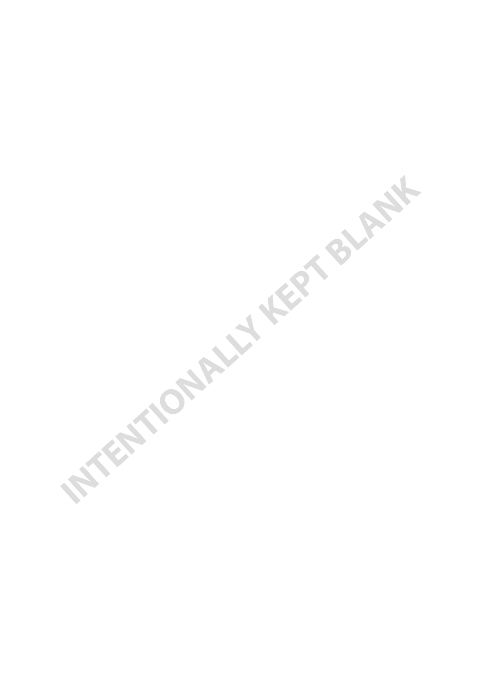**INTENTIONALLY KEPT BLANK**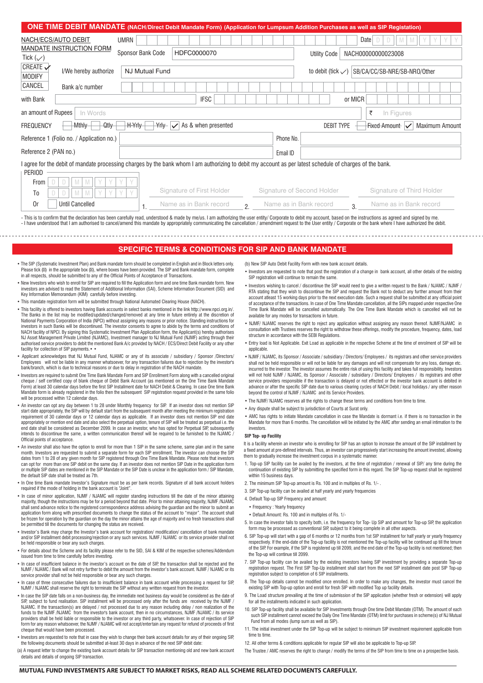|                                                                                                                                                        | <b>ONE TIME DEBIT MANDATE</b> (NACH/Direct Debit Mandate Form) (Application for Lumpsum Addition Purchases as well as SIP Registation) |  |  |  |  |  |  |  |  |
|--------------------------------------------------------------------------------------------------------------------------------------------------------|----------------------------------------------------------------------------------------------------------------------------------------|--|--|--|--|--|--|--|--|
|                                                                                                                                                        | Date                                                                                                                                   |  |  |  |  |  |  |  |  |
|                                                                                                                                                        | <b>Utility Code</b><br>NACH00000000023008                                                                                              |  |  |  |  |  |  |  |  |
|                                                                                                                                                        |                                                                                                                                        |  |  |  |  |  |  |  |  |
|                                                                                                                                                        | SB/CA/CC/SB-NRE/SB-NRO/Other<br>to debit (tick $\swarrow$ )                                                                            |  |  |  |  |  |  |  |  |
|                                                                                                                                                        |                                                                                                                                        |  |  |  |  |  |  |  |  |
|                                                                                                                                                        |                                                                                                                                        |  |  |  |  |  |  |  |  |
| <b>IFSC</b>                                                                                                                                            | or MICR                                                                                                                                |  |  |  |  |  |  |  |  |
| an amount of Rupees<br>₹<br>In Words<br>In Figures                                                                                                     |                                                                                                                                        |  |  |  |  |  |  |  |  |
| As & when presented<br>Yrly  <br>$\checkmark$                                                                                                          | <b>DEBIT TYPE</b><br>Fixed Amount V<br><b>Maximum Amount</b>                                                                           |  |  |  |  |  |  |  |  |
|                                                                                                                                                        | Phone No.                                                                                                                              |  |  |  |  |  |  |  |  |
|                                                                                                                                                        | Email ID                                                                                                                               |  |  |  |  |  |  |  |  |
| agree for the debit of mandate processing charges by the bank whom I am authorizing to debit my account as per latest schedule of charges of the bank. |                                                                                                                                        |  |  |  |  |  |  |  |  |
|                                                                                                                                                        |                                                                                                                                        |  |  |  |  |  |  |  |  |
|                                                                                                                                                        |                                                                                                                                        |  |  |  |  |  |  |  |  |
| Signature of First Holder                                                                                                                              | Signature of Second Holder<br>Signature of Third Holder                                                                                |  |  |  |  |  |  |  |  |
| Name as in Bank record<br>$\overline{2}$                                                                                                               | Name as in Bank record<br>Name as in Bank record<br>$\overline{3}$                                                                     |  |  |  |  |  |  |  |  |
|                                                                                                                                                        | Sponsor Bank Code<br>HDFC0000070<br><b>NJ Mutual Fund</b>                                                                              |  |  |  |  |  |  |  |  |

- This is to confirm that the declaration has been carefully read, understood & made by me/us. I am authorizing the user entity/ Corporate to debit my account, based on the instructions as agreed and signed by me I have understood that I am authorised to cancel/amend this mandate by appropriately communicating the cancellation / amendment request to the User entity / Corporate or the bank where I have authorized the debit.

#### **SPECIFIC TERMS & CONDITIONS FOR SIP AND BANK MANDATE**

- The SIP (Systematic Investment Plan) and Bank mandate form should be completed in English and in Block letters only. Please tick ( ) in the appropriate box ( ), where boxes have been provided. The SIP and Bank mandate form, complete<br>in all respects, should be submitted to any of the Official Points of Acceptance of Transactions.
- New Investors who wish to enroll for SIP are required to fill the Application form and one time Bank mandate form. New investors are advised to read the Statement of Additional Information (SAI), Scheme Information Document (SID) and Key Information Memorandum (KIM) carefully before investing.
- This mandate registration form will be submitted through National Automated Clearing House (NACH).
- This facility is offered to investors having Bank accounts in select banks mentioned in the link http://www.npci.org.in/. The Banks in the list may be modified/updated/changed/removed at any time in future entirely at the discretion of National Payments Corporation of India (NPCI) without assigning any reasons or prior notice. Standing instructions for investors in such Banks will be discontinued. The investor consents to agree to abide by the terms and conditions of NACH facility of NPCI. By signing this Systematic Investment Plan Application form, the Applicant(s) hereby authorises NJ Asset Management Private Limited (NJAMC), Investment manager to NJ Mutual Fund (NJMF) acting through their authorised service providers to debit the mentioned Bank A/c provided by NACH / ECS/Direct Debit Facility or any other facility for collection of SIP payments. • •
- Applicant acknowledges that NJ Mutual Fund, NJAMC or any of its associate / subsidiary / Sponsor /Directors/ Employees will not be liable in any manner whatsoever, for any transaction failures due to rejection by the investor's bank/branch, which is due to technical reasons or due to delay in registration of the NACH mandate.
- livestors are required to submit One Time Bank Mandate Form and SIP Enrollment Form along with a cancelled original»<br>cheque / self certified copy of blank cheque of Debit Bank Account (as mentioned on the One Time Bank Man Form) at least 30 calendar days before the first SIP Installment date for NACH Debit & Clearing. In case One time Bank Mandate form is already registered in the folio then the subsequent SIP registration request provided in the same folio will be processed within 12 calendar days.
- An investor can opt any day between 1 to 28 under Monthly frequency for SIP. If an investor does not mention SIP start date appropriately, the SIP will by default start from the subsequent month after meeting the minimum registration<br>requirement of 30 calendar days or 12 calendar days as applicable. If an investor does not mention SI appropriately or mention end date and also select the perpetual option, tenure of SIP will be treated as perpetual i.e. the<br>end date shall be considered as December 2099. In case an investor, who has opted for Perpetual SI intends to discontinue the same, a written communication thereof will be required to be furnished to the NJAMC Official points of acceptance.
- An investor shall also have the option to enroll for more than 1 SIP in the same scheme, same plan and in the same month. Investors are requested to submit a separate form for each SIP enrollment. The investor can choose the SIP dates from 1 to 28 of any given month for SIP registered through One Time Bank Mandate. Please note that investors can opt for more than one SIP debit on the same day. If an investor does not mention SIP Date in the application form<br>or multiple SIP dates are mentioned in the SIP Mandate or the SIP Date is unclear in the application fo the default SIP date shall be treated as 7th.
- In One time Bank mandate Investor's Signature must be as per bank records. Signature of all bank account holders required if the mode of holding in the bank account is "Joint".
- In case of minor application, NJMF / NJAMC will register standing instructions till the date of the minor attaini majority, though the instructions may be for a period beyond that date. Prior to minor attaining majority, NJMF /NJAMC shall send advance notice to the registered correspondence address advising the guardian and the minor to submit an application form along with prescribed documents to change the status of the account to "major". The account shall be frozen for operation by the guardian on the day the minor attains the age of majority and no fresh transactions shall be permitted till the documents for changing the status are received.
- Investor's Bank may charge the Investor's bank account for registration/ modification/ cancellation of bank mandate and/or SIP installment debit processing/rejection or any such services. NJMF / NJAMC or its service provider shall not be held responsible or bear any such charges.
- For details about the Scheme and its facility please refer to the SID, SAI & KIM of the respective schemes/Addendum issued from time to time carefully before investing.
- In case of insufficient balance in the investor's account on the date of SIP, the transaction shall be rejected and the NJMF / NJAMC / Bank will not retry further to debit the amount from the investor's bank account. NJMF / NJAMC or its service provider shall not be held responsible or bear any such charges.
- In case of three consecutive failures due to insufficient balance in bank account while processing a request for SIP, NJMF / NJAMC shall reserve the right to terminate the SIP without any written request from the investor.
- In case the SIP date falls on a non-business day, the immediate next business day would be considered as the date of SIP, subject to fund realisation. SIP installment will be processed only after the funds are received by the NJMF NJAMC. If the transaction(s) are delayed / not processed due to any reason including delay / non realization of the funds to the NJMF /NJAMC from the investor's bank account, then in no circumstances, NJMF /NJAMC / its service providers shall be held liable or responsible to the investor or any third party, whatsoever. In case of rejection of SIP form for any reason whatsoever, the NJMF / NJAMC will not accept/entertain any request for refund of proceeds of first cheque that would have been processed.
- Investors are requested to note that in case they wish to change their bank account details for any of their ongoing SIP, the following documents should be submitted at-least 30 days in advance of the next SIP debit date:
- (a) A request letter to change the existing bank account details for SIP transaction mentioning old and new bank account details and details of ongoing SIP transaction.

(b) New SIP Auto Debit Facility Form with new bank account details.

- Investors are requested to note that post the registration of a change in bank account, all other details of the existing SIP registration will continue to remain the same.
- Investors wishing to cancel / discontinue the SIP would need to give a written request to the Bank / NJAMC / NJMF / RTA stating that they wish to discontinue the SIP and request the Bank not to deduct any further amount from their account atleast 15 working days prior to the next execution date. Such a request shall be submitted at any official point of acceptance of the transactions. In case of One Time Mandate cancellation, all the SIPs mapped under respective One Time Bank Mandate will be cancelled automatically. The One Time Bank Mandate which is cancelled will not be available for any modes for transactions in future.
- NJMF/ NJAMC reserves the right to reject any application without assigning any reason thereof. NJMF/NJAMC in consultation with Trustees reserves the right to withdraw these offerings, modify the procedure, frequency, dates, load structure in accordance with the SEBI Regulations.
- Entry load is Not Applicable. Exit Load as applicable in the respective Scheme at the time of enrolment of SIP will be applicable.
- NJMF / NJAMC, its Sponsor / Associate / subsidiary / Directors/ Employees / its registrars and other service providers shall not be held responsible or will not be liable for any damages and will not compensate for any loss, damage etc. incurred to the investor. The investor assumes the entire risk of using this facility and takes full responsibility. Investors will not hold NJMF / NJAMC, its Sponsor / Associate / subsidiary / Directors/ Employees / its registrars and other<br>service providers responsible if the transaction is delayed or not effected or the investor bank account is advance or after the specific SIP date due to various clearing cycles of NACH Debit / local holidays / any other reason beyond the control of NJMF / NJAMC and its Service Providers.
- The NJMF/ NJAMC reserves all the rights to change these terms and conditions from time to time.
- Any dispute shall be subject to jurisdiction of Courts at Surat only.
- AMC has rights to initiate Mandate cancellation in case the Mandate is dormant i.e. if there is no transaction in the Mandate for more than 6 months. The cancellation will be initiated by the AMC after sending an email intimation to the investors.

#### **SIP Top- up Facility**

It is a facility wherein an investor who is enrolling for SIP has an option to increase the amount of the SIP installment by a fixed amount at pre-defined intervals. Thus, an investor can progressively start increasing the amount invested, allowing them to gradually increase the investment corpus in a systematic manner.

- 1. Top-up SIP facility can be availed by the investors, at the time of registration / renewal of SIP/ any time during the continuation of existing SIP by submitting the specified form in this regard. The SIP Top-up request shall be registered within 15 business days.
- 2. The minimum SIP Top-up amount is Rs. 100 and in multiples of Rs. 1/- .
- 3. SIP Top-up facility can be availed at half yearly and yearly frequencies
- 4. Default Top-up SIP Frequency and amount:
- Frequency : Yearly frequency
- Default Amount: Rs. 100 and in multiples of Rs. 1/-
- 5. In case the investor fails to specify both, i.e. the frequency for Top- Up SIP and amount for Top-up SIP, the application form may be processed as conventional SIP, subject to it being complete in all other aspects.
- 6. SIP Top-up will start with a gap of 6 months or 12 months from 1st SIP installment for half yearly or yearly frequency respectively. If the end-date of the Top-up facility is not mentioned the Top-up facility will be continued up till the tenure of the SIP. For example, if the SIP is registered up till 2099, and the end date of the Top-up facility is not mentioned; then the Top-up will continue till 2099.
- 7. SIP Top-up facility can be availed by the existing investors having SIP investment by providing a separate Top-up registration request. The First SIP Top-Up installment shall start from the next SIP installment date post SIP Top-up registration subject to completion of 6 SIP installments.
- 8. The Top-up details cannot be modified once enrolled. In order to make any changes, the investor must cancel the existing SIP with Top-up option and enroll for fresh SIP with modified Top up facility details.
- 9. The Load structure prevailing at the time of submission of the SIP application (whether fresh or extension) will apply for all the installments indicated in such application.
- 10. SIP Top-up facility shall be available for SIP Investments through One time Debit Mandate (OTM). The amount of each such SIP installment cannot exceed the Daily One Time Mandate (OTM) limit for purchases in scheme(s) of NJ Mutual Fund from all modes (lump sum as well as SIP).
- 11. The initial investment under the SIP Top-up will be subject to minimum SIP investment requirement applicable from time to time.
- 12. All other terms & conditions applicable for regular SIP will also be applicable to Top-up SIP.
- The Trustee / AMC reserves the right to change / modify the terms of the SIP from time to time on a prospective basis.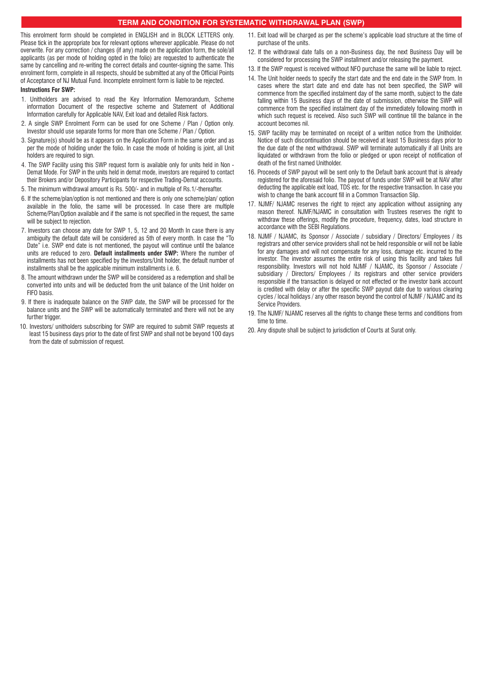### **TERM AND CONDITION FOR SYSTEMATIC WITHDRAWAL PLAN (SWP)**

This enrolment form should be completed in ENGLISH and in BLOCK LETTERS only. Please tick in the appropriate box for relevant options wherever applicable. Please do not overwrite. For any correction / changes (if any) made on the application form, the sole/all applicants (as per mode of holding opted in the folio) are requested to authenticate the same by cancelling and re-writing the correct details and counter-signing the same. This enrolment form, complete in all respects, should be submitted at any of the Official Points of Acceptance of NJ Mutual Fund. Incomplete enrolment form is liable to be rejected.

#### **Instructions For SWP:**

- 1. Unitholders are advised to read the Key Information Memorandum, Scheme information Document of the respective scheme and Statement of Additional Information carefully for Applicable NAV, Exit load and detailed Risk factors.
- 2. A single SWP Enrolment Form can be used for one Scheme / Plan / Option only. Investor should use separate forms for more than one Scheme / Plan / Option.
- 3. Signature(s) should be as it appears on the Application Form in the same order and as per the mode of holding under the folio. In case the mode of holding is joint, all Unit holders are required to sign.
- 4. The SWP Facility using this SWP request form is available only for units held in Non Demat Mode. For SWP in the units held in demat mode, investors are required to contact their Brokers and/or Depository Participants for respective Trading-Demat accounts.
- 5. The minimum withdrawal amount is Rs. 500/- and in multiple of Rs.1/-thereafter.
- 6. If the scheme/plan/option is not mentioned and there is only one scheme/plan/ option available in the folio, the same will be processed. In case there are multiple Scheme/Plan/Option available and if the same is not specified in the request, the same will be subject to rejection.
- 7. Investors can choose any date for SWP 1, 5, 12 and 20 Month In case there is any ambiguity the default date will be considered as 5th of every month. In case the "To Date" i.e. SWP end date is not mentioned, the payout will continue until the balance units are reduced to zero. **Default installments under SWP:** Where the number of installments has not been specified by the investors/Unit holder, the default number of installments shall be the applicable minimum installments i.e. 6.
- 8. The amount withdrawn under the SWP will be considered as a redemption and shall be converted into units and will be deducted from the unit balance of the Unit holder on FIFO basis.
- 9. If there is inadequate balance on the SWP date, the SWP will be processed for the balance units and the SWP will be automatically terminated and there will not be any further trigger.
- 10. Investors/ unitholders subscribing for SWP are required to submit SWP requests at least 15 business days prior to the date of first SWP and shall not be beyond 100 days from the date of submission of request.
- 11. Exit load will be charged as per the scheme's applicable load structure at the time of purchase of the units.
- 12. If the withdrawal date falls on a non-Business day, the next Business Day will be considered for processing the SWP installment and/or releasing the payment.
- 13. If the SWP request is received without NFO purchase the same will be liable to reject.
- 14. The Unit holder needs to specify the start date and the end date in the SWP from. In cases where the start date and end date has not been specified, the SWP will commence from the specified instalment day of the same month, subject to the date falling within 15 Business days of the date of submission, otherwise the SWP will commence from the specified instalment day of the immediately following month in which such request is received. Also such SWP will continue till the balance in the account becomes nil.
- 15. SWP facility may be terminated on receipt of a written notice from the Unitholder. Notice of such discontinuation should be received at least 15 Business days prior to the due date of the next withdrawal. SWP will terminate automatically if all Units are liquidated or withdrawn from the folio or pledged or upon receipt of notification of death of the first named Unitholder.
- 16. Proceeds of SWP payout will be sent only to the Default bank account that is already registered for the aforesaid folio. The payout of funds under SWP will be at NAV after deducting the applicable exit load, TDS etc. for the respective transaction. In case you wish to change the bank account fill in a Common Transaction Slip.
- 17. NJMF/ NJAMC reserves the right to reject any application without assigning any reason thereof. NJMF/NJAMC in consultation with Trustees reserves the right to withdraw these offerings, modify the procedure, frequency, dates, load structure in accordance with the SEBI Regulations.
- 18. NJMF / NJAMC, its Sponsor / Associate / subsidiary / Directors/ Employees / its registrars and other service providers shall not be held responsible or will not be liable for any damages and will not compensate for any loss, damage etc. incurred to the investor. The investor assumes the entire risk of using this facility and takes full responsibility. Investors will not hold NJMF / NJAMC, its Sponsor / Associate / subsidiary / Directors/ Employees / its registrars and other service providers responsible if the transaction is delayed or not effected or the investor bank account is credited with delay or after the specific SWP payout date due to various clearing cycles / local holidays / any other reason beyond the control of NJMF / NJAMC and its Service Providers.
- 19. The NJMF/ NJAMC reserves all the rights to change these terms and conditions from time to time.
- 20. Any dispute shall be subject to jurisdiction of Courts at Surat only.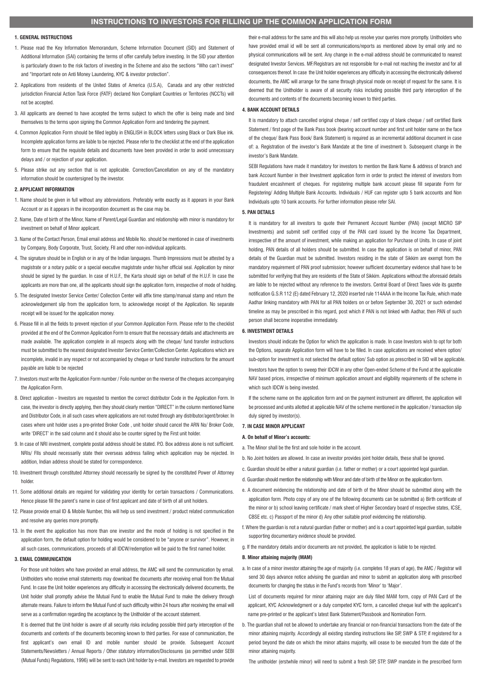### **INSTRUCTIONS TO INVESTORS FOR FILLING UP THE COMMON APPLICATION FORM**

#### **1. GENERAL INSTRUCTIONS**

- 1. Please read the Key Information Memorandum, Scheme Information Document (SID) and Statement of Additional Information (SAI) containing the terms of offer carefully before investing. In the SID your attention is particularly drawn to the risk factors of investing in the Scheme and also the sections "Who can't invest" and "Important note on Anti Money Laundering, KYC & investor protection".
- 2. Applications from residents of the United States of America (U.S.A), Canada and any other restricted jurisdiction Financial Action Task Force (FATF) declared Non Compliant Countries or Territories (NCCTs) will not be accepted.
- 3. All applicants are deemed to have accepted the terms subject to which the offer is being made and bind themselves to the terms upon signing the Common Application Form and tendering the payment.
- 4. Common Application Form should be filled legibly in ENGLISH in BLOCK letters using Black or Dark Blue ink. Incomplete application forms are liable to be rejected. Please refer to the checklist at the end of the application form to ensure that the requisite details and documents have been provided in order to avoid unnecessary delays and / or rejection of your application.
- 5. Please strike out any section that is not applicable. Correction/Cancellation on any of the mandatory information should be countersigned by the investor.

#### **2. APPLICANT INFORMATION**

- 1. Name should be given in full without any abbreviations. Preferably write exactly as it appears in your Bank Account or as it appears in the incorporation document as the case may be.
- 2. Name, Date of birth of the Minor, Name of Parent/Legal Guardian and relationship with minor is mandatory for investment on behalf of Minor applicant.
- 3. Name of the Contact Person, Email email address and Mobile No. should be mentioned in case of investments by Company, Body Corporate, Trust, Society, FII and other non-individual applicants.
- 4. The signature should be in English or in any of the Indian languages. Thumb Impressions must be attested by a magistrate or a notary public or a special executive magistrate under his/her official seal. Application by minor should be signed by the guardian. In case of H.U.F., the Karta should sign on behalf of the H.U.F. In case the applicants are more than one, all the applicants should sign the application form, irrespective of mode of holding.
- 5. The designated Investor Service Center/ Collection Center will affix time stamp/manual stamp and return the acknowledgement slip from the application form, to acknowledge receipt of the Application. No separate receipt will be issued for the application money.
- 6. Please fill in all the fields to prevent rejection of your Common Application Form. Please refer to the checklist provided at the end of the Common Application Form to ensure that the necessary details and attachments are made available. The application complete in all respects along with the cheque/ fund transfer instructions must be submitted to the nearest designated Investor Service Center/Collection Center. Applications which are incomplete, invalid in any respect or not accompanied by cheque or fund transfer instructions for the amount payable are liable to be rejected
- 7. Investors must write the Application Form number / Folio number on the reverse of the cheques accompanying the Application Form.
- 8. Direct application Investors are requested to mention the correct distributor Code in the Application Form. In case, the investor is directly applying, then they should clearly mention "DIRECT" in the column mentioned Name and Distributor Code, in all such cases where applications are not routed through any distributor/agent/broker. In cases where unit holder uses a pre-printed Broker Code , unit holder should cancel the ARN No/ Broker Code, write 'DIRECT' in the said column and it should also be counter signed by the First unit holder.
- 9. In case of NRI investment, complete postal address should be stated. P.O. Box address alone is not sufficient. NRIs/ FIIs should necessarily state their overseas address failing which application may be rejected. In addition, Indian address should be stated for correspondence.
- 10. Investment through constituted Attorney should necessarily be signed by the constituted Power of Attorney holder.
- 11. Some additional details are required for validating your identity for certain transactions / Communications. Hence please fill the parent's name in case of first applicant and date of birth of all unit holders.
- 12. Please provide email ID & Mobile Number, this will help us send investment / product related communication and resolve any queries more promptly.
- 13. In the event the application has more than one investor and the mode of holding is not specified in the application form, the default option for holding would be considered to be "anyone or survivor". However, in all such cases, communications, proceeds of all IDCW/redemption will be paid to the first named holder.

#### **3. EMAIL COMMUNICATION**

For those unit holders who have provided an email address, the AMC will send the communication by email. Unitholders who receive email statements may download the documents after receiving email from the Mutual Fund. In case the Unit holder experiences any difficulty in accessing the electronically delivered documents, the Unit holder shall promptly advise the Mutual Fund to enable the Mutual Fund to make the delivery through alternate means. Failure to inform the Mutual Fund of such difficulty within 24 hours after receiving the email will serve as a confirmation regarding the acceptance by the Unitholder of the account statement.

It is deemed that the Unit holder is aware of all security risks including possible third party interception of the documents and contents of the documents becoming known to third parties. For ease of communication, the first applicant's own email ID and mobile number should be provide. Subsequent Account Statements/Newsletters / Annual Reports / Other statutory information/Disclosures (as permitted under SEBI (Mutual Funds) Regulations, 1996) will be sent to each Unit holder by e-mail. Investors are requested to provide

their e-mail address for the same and this will also help us resolve your queries more promptly. Unitholders who have provided email id will be sent all communications/reports as mentioned above by email only and no physical communications will be sent. Any change in the e-mail address should be communicated to nearest designated Investor Services. MF/Registrars are not responsible for e-mail not reaching the investor and for all consequences thereof. In case the Unit holder experiences any difficulty in accessing the electronically delivered documents, the AMC will arrange for the same through physical mode on receipt of request for the same. It is deemed that the Unitholder is aware of all security risks including possible third party interception of the documents and contents of the documents becoming known to third parties.

#### **4. BANK ACCOUNT DETAILS**

It is mandatory to attach cancelled original cheque / self certified copy of blank cheque / self certified Bank Statement / first page of the Bank Pass book (bearing account number and first unit holder name on the face of the cheque/ Bank Pass Book/ Bank Statement) is required as an incremental additional document in case of: a. Registration of the investor's Bank Mandate at the time of investment b. Subsequent change in the investor's Bank Mandate.

SEBI Regulations have made it mandatory for investors to mention the Bank Name & address of branch and bank Account Number in their Investment application form in order to protect the interest of investors from fraudulent encashment of cheques. For registering multiple bank account please fill separate Form for Registering/ Adding Multiple Bank Accounts. Individuals / HUF can register upto 5 bank accounts and Non Individuals upto 10 bank accounts. For further information please refer SAI.

#### **5. PAN DETAILS**

It is mandatory for all investors to quote their Permanent Account Number (PAN) (except MICRO SIP Investments) and submit self certified copy of the PAN card issued by the Income Tax Department irrespective of the amount of investment, while making an application for Purchase of Units. In case of joint holding, PAN details of all holders should be submitted. In case the application is on behalf of minor, PAN details of the Guardian must be submitted. Investors residing in the state of Sikkim are exempt from the mandatory requirement of PAN proof submission; however sufficient documentary evidence shall have to be submitted for verifying that they are residents of the State of Sikkim. Applications without the aforesaid details are liable to be rejected without any reference to the investors. Central Board of Direct Taxes vide its gazette notification G.S.R 112 (E) dated February 12, 2020 inserted rule 114AAA in the Income Tax Rule, which made Aadhar linking mandatory with PAN for all PAN holders on or before September 30, 2021 or such extended timeline as may be prescribed in this regard, post which if PAN is not linked with Aadhar, then PAN of such person shall become inoperative immediately.

#### **6. INVESTMENT DETAILS**

Investors should indicate the Option for which the application is made. In case Investors wish to opt for both the Options, separate Application form will have to be filled. In case applications are received where option/ sub-option for investment is not selected the default option/ Sub option as prescribed in SID will be applicable. Investors have the option to sweep their IDCW in any other Open-ended Scheme of the Fund at the applicable NAV based prices, irrespective of minimum application amount and eligibility requirements of the scheme in which such IDCW is being invested.

If the scheme name on the application form and on the payment instrument are different, the application will be processed and units allotted at applicable NAV of the scheme mentioned in the application / transaction slip duly signed by investor(s).

#### **7. IN CASE MINOR APPLICANT**

#### **A. On behalf of Minor's accounts:**

- a. The Minor shall be the first and sole holder in the account.
- b. No Joint holders are allowed. In case an investor provides joint holder details, these shall be ignored.
- c. Guardian should be either a natural guardian (i.e. father or mother) or a court appointed legal guardian.
- d. Guardian should mention the relationship with Minor and date of birth of the Minor on the application form.
- e. A document evidencing the relationship and date of birth of the Minor should be submitted along with the application form. Photo copy of any one of the following documents can be submitted a) Birth certificate of the minor or b) school leaving certificate / mark sheet of Higher Secondary board of respective states, ICSE CBSE etc. c) Passport of the minor d) Any other suitable proof evidencing the relationship.
- f. Where the quardian is not a natural quardian (father or mother) and is a court appointed legal quardian, suitable supporting documentary evidence should be provided.
- g. If the mandatory details and/or documents are not provided, the application is liable to be rejected.

#### **B. Minor attaining majority (MAM)**

a. In case of a minor investor attaining the age of majority (i.e. completes 18 years of age), the AMC / Registrar will send 30 days advance notice advising the guardian and minor to submit an application along with prescribed documents for changing the status in the Fund's records from 'Minor' to 'Major'.

List of documents required for minor attaining major are duly filled MAM form, copy of PAN Card of the applicant, KYC Acknowledgment or a duly competed KYC form, a cancelled cheque leaf with the applicant's name pre-printed or the applicant's latest Bank Statement/Passbook and Nomination Form.

b. The guardian shall not be allowed to undertake any financial or non-financial transactions from the date of the minor attaining majority. Accordingly all existing standing instructions like SIP, SWP & STP, if registered for a period beyond the date on which the minor attains majority, will cease to be executed from the date of the minor attaining majority.

The unitholder (erstwhile minor) will need to submit a fresh SIP, STP, SWP mandate in the prescribed form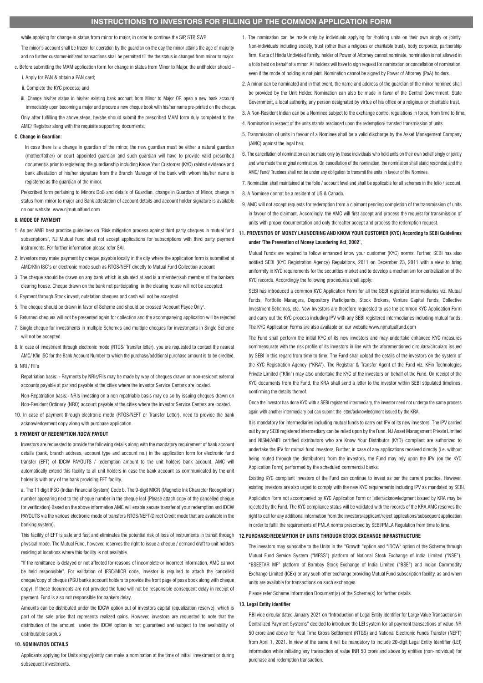### **INSTRUCTIONS TO INVESTORS FOR FILLING UP THE COMMON APPLICATION FORM**

while applying for change in status from minor to major, in order to continue the SIP, STP, SWP. The minor's account shall be frozen for operation by the guardian on the day the minor attains the age of majority and no further customer-initiated transactions shall be permitted till the the status is changed from minor to major.

- c. Before submitting the MAM application form for change in status from Minor to Major, the unitholder should i. Apply for PAN & obtain a PAN card;
	- ii. Complete the KYC process; and

iii. Change his/her status in his/her existing bank account from Minor to Major OR open a new bank account immediately upon becoming a major and procure a new cheque book with his/her name pre-printed on the cheque. Only after fulfilling the above steps, he/she should submit the prescribed MAM form duly completed to the AMC/ Registrar along with the requisite supporting documents.

#### **C. Change in Guardian:**

In case there is a change in guardian of the minor, the new guardian must be either a natural guardian (mother/father) or court appointed guardian and such guardian will have to provide valid prescribed document/s prior to registering the guardianship including Know Your Customer (KYC) related evidence and bank attestation of his/her signature from the Branch Manager of the bank with whom his/her name is registered as the guardian of the minor.

Prescribed form pertaining to Minors DoB and details of Guardian, change in Guardian of Minor, change in status from minor to major and Bank attestation of account details and account holder signature is available on our website www.njmutualfund.com

#### **8. MODE OF PAYMENT**

- 1. As per AMFI best practice guidelines on 'Risk mitigation process against third party cheques in mutual fund subscriptions'. NJ Mutual Fund shall not accept applications for subscriptions with third party payment instruments. For further information please refer SAI.
- 2. Investors may make payment by cheque payable locally in the city where the application form is submitted at AMC/Kfin ISC's or electronic mode such as RTGS/NEFT directly to Mutual Fund Collection account
- 3. The cheque should be drawn on any bank which is situated at and is a member/sub member of the bankers clearing house. Cheque drawn on the bank not participating in the clearing house will not be accepted.
- 4. Payment through Stock invest, outstation cheques and cash will not be accepted.
- 5. The cheque should be drawn in favor of Scheme and should be crossed 'Account Payee Only'.
- 6. Returned cheques will not be presented again for collection and the accompanying application will be rejected.
- 7. Single cheque for investments in multiple Schemes and multiple cheques for investments in Single Scheme will not be accepted.
- 8. In case of investment through electronic mode (RTGS/ Transfer letter), you are requested to contact the nearest AMC/ Kfin ISC for the Bank Account Number to which the purchase/additional purchase amount is to be credited.

#### 9. NRI / FII's

Repatriation basis: - Payments by NRIs/FIIs may be made by way of cheques drawn on non-resident external accounts payable at par and payable at the cities where the Investor Service Centers are located.

Non-Repatriation basis:- NRIs investing on a non repatriable basis may do so by issuing cheques drawn on Non-Resident Ordinary (NRO) account payable at the cities where the Investor Service Centers are located.

10. In case of payment through electronic mode (RTGS/NEFT or Transfer Letter), need to provide the bank acknowledgement copy along with purchase application.

#### **9. PAYMENT OF REDEMPTION /IDCW PAYOUT**

Investors are requested to provide the following details along with the mandatory requirement of bank account details (bank, branch address, account type and account no.) in the application form for electronic fund transfer (EFT) of IDCW PAYOUTS / redemption amount to the unit holders bank account. AMC will automatically extend this facility to all unit holders in case the bank account as communicated by the unit holder is with any of the bank providing EFT facility.

a. The 11 digit IFSC (Indian Financial System) Code b. The 9-digit MICR (Magnetic Ink Character Recognition) number appearing next to the cheque number in the cheque leaf (Please attach copy of the cancelled cheque for verification) Based on the above information AMC will enable secure transfer of your redemption and IDCW PAYOUTS via the various electronic mode of transfers RTGS/NEFT/Direct Credit mode that are available in the banking system).

This facility of EFT is safe and fast and eliminates the potential risk of loss of instruments in transit through **12.PURCHASE/REDEMPTION OF UNITS THROUGH STOCK EXCHANGE INFRASTRUCTURE** physical mode. The Mutual Fund, however, reserves the right to issue a cheque / demand draft to unit holders residing at locations where this facility is not available.

"If the remittance is delayed or not affected for reasons of incomplete or incorrect information, AMC cannot be held responsible". For validation of IFSC/MICR code, investor is required to attach the cancelled cheque/copy of cheque (PSU banks account holders to provide the front page of pass book along with cheque copy). If these documents are not provided the fund will not be responsible consequent delay in receipt of payment. Fund is also not responsible for bankers delay.

Amounts can be distributed under the IDCW option out of investors capital (equalization reserve), which is part of the sale price that represents realized gains. However, investors are requested to note that the distribution of the amount under the IDCW option is not guaranteed and subject to the availability of distributable surplus

#### **10. NOMINATION DETAILS**

Applicants applying for Units singly/jointly can make a nomination at the time of initial investment or during subsequent investments.

- 1. The nomination can be made only by individuals applying for /holding units on their own singly or jointly. Non-individuals including society, trust (other than a religious or charitable trust), body corporate, partnership firm, Karta of Hindu Undivided Family, holder of Power of Attorney cannot nominate, nomination is not allowed in a folio held on behalf of a minor. All holders will have to sign request for nomination or cancellation of nomination, even if the mode of holding is not joint. Nomination cannot be signed by Power of Attorney (PoA) holders.
- 2. A minor can be nominated and in that event, the name and address of the guardian of the minor nominee shall be provided by the Unit Holder. Nomination can also be made in favor of the Central Government, State Government, a local authority, any person designated by virtue of his office or a religious or charitable trust.
- 3. A Non-Resident Indian can be a Nominee subject to the exchange control regulations in force, from time to time.
- 4. Nomination in respect of the units stands rescinded upon the redemption/ transfer/ transmission of units.
- 5. Transmission of units in favour of a Nominee shall be a valid discharge by the Asset Management Company (AMC) against the legal heir.
- 6. The cancellation of nomination can be made only by those individuals who hold units on their own behalf singly or jointly and who made the original nomination. On cancellation of the nomination, the nomination shall stand rescinded and the AMC/ Fund/ Trustees shall not be under any obligation to transmit the units in favour of the Nominee.
- 7. Nomination shall maintained at the folio / account level and shall be applicable for all schemes in the folio / account. 8. A Nominee cannot be a resident of US & Canada.
- 
- 9. AMC will not accept requests for redemption from a claimant pending completion of the transmission of units in favour of the claimant. Accordingly, the AMC will first accept and process the request for transmission of units with proper documentation and only thereafter accept and process the redemption request.
- **11. PREVENTION OF MONEY LAUNDERING AND KNOW YOUR CUSTOMER (KYC) According to SEBI Guidelines under 'The Prevention of Money Laundering Act, 2002',**

Mutual Funds are required to follow enhanced know your customer (KYC) norms. Further, SEBI has also notified SEBI (KYC Registration Agency) Regulations, 2011 on December 23, 2011 with a view to bring uniformity in KYC requirements for the securities market and to develop a mechanism for centralization of the KYC records. Accordingly the following procedures shall apply:

SEBI has introduced a common KYC Application Form for all the SEBI registered intermediaries viz. Mutual Funds, Portfolio Managers, Depository Participants, Stock Brokers, Venture Capital Funds, Collective Investment Schemes, etc. New Investors are therefore requested to use the common KYC Application Form and carry out the KYC process including IPV with any SEBI registered intermediaries including mutual funds. The KYC Application Forms are also available on our website www.njmutualfund.com

The Fund shall perform the initial KYC of its new investors and may undertake enhanced KYC measures commensurate with the risk profile of its investors in line with the aforementioned circulars/circulars issued by SEBI in this regard from time to time. The Fund shall upload the details of the investors on the system of the KYC Registration Agency ("KRA"). The Registrar & Transfer Agent of the Fund viz. KFin Technologies Private Limited ("Kfin") may also undertake the KYC of the investors on behalf of the Fund. On receipt of the KYC documents from the Fund, the KRA shall send a letter to the investor within SEBI stipulated timelines, confirming the details thereof.

Once the investor has done KYC with a SEBI registered intermediary, the investor need not undergo the same process again with another intermediary but can submit the letter/acknowledgment issued by the KRA.

It is mandatory for intermediaries including mutual funds to carry out IPV of its new investors. The IPV carried out by any SEBI registered intermediary can be relied upon by the Fund. NJ Asset Management Private Limited and NISM/AMFI certified distributors who are Know Your Distributor (KYD) compliant are authorized to undertake the IPV for mutual fund investors. Further, in case of any applications received directly (i.e. without being routed through the distributors) from the investors, the Fund may rely upon the IPV (on the KYC Application Form) performed by the scheduled commercial banks.

Existing KYC compliant investors of the Fund can continue to invest as per the current practice. However, existing investors are also urged to comply with the new KYC requirements including IPV as mandated by SEBI.

Application Form not accompanied by KYC Application Form or letter/acknowledgment issued by KRA may be rejected by the Fund. The KYC compliance status will be validated with the records of the KRA.AMC reserves the right to call for any additional information from the investors/applicant/reject applications/subsequent application in order to fulfill the requirements of PMLA norms prescribed by SEBI/PMLA Regulation from time to time.

The investors may subscribe to the Units in the "Growth "option and "IDCW" option of the Scheme through Mutual Fund Service System ("MFSS") platform of National Stock Exchange of India Limited ("NSE"), "BSESTAR MF" platform of Bombay Stock Exchange of India Limited ("BSE") and Indian Commodity Exchange Limited (ICEx) or any such other exchange providing Mutual Fund subscription facility, as and when units are available for transactions on such exchanges.

Please refer Scheme Information Document(s) of the Scheme(s) for further details.

#### **13. Legal Entity Identifier**

RBI vide circular dated January 2021 on "Introduction of Legal Entity Identifier for Large Value Transactions in Centralized Payment Systems" decided to introduce the LEI system for all payment transactions of value INR 50 crore and above for Real Time Gross Settlement (RTGS) and National Electronic Funds Transfer (NEFT) from April 1, 2021. In view of the same it will be mandatory to include 20-digit Legal Entity Identifier (LEI) information while initiating any transaction of value INR 50 crore and above by entities (non-Individual) for purchase and redemption transaction.